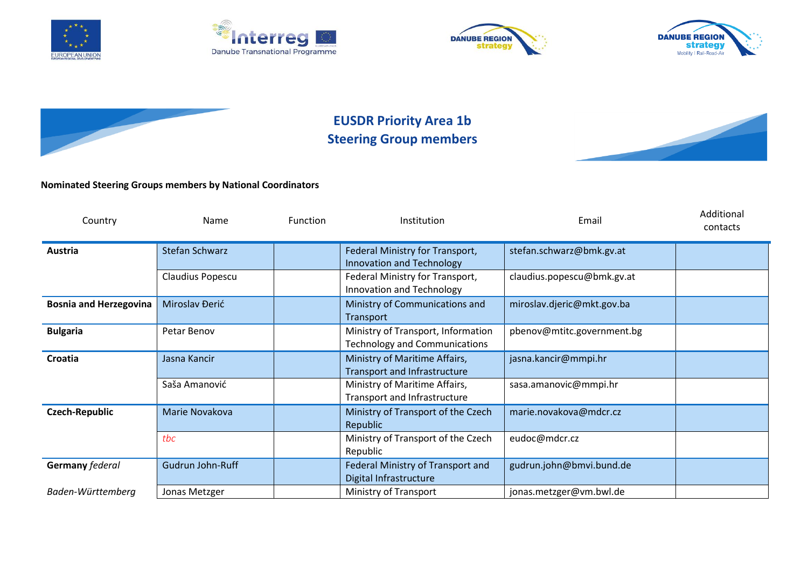









## **EUSDR Priority Area 1b Steering Group members**



## **Nominated Steering Groups members by National Coordinators**

| Country                       | Name                  | Function                                    | Institution                                                                | Email                      | Additional<br>contacts |
|-------------------------------|-----------------------|---------------------------------------------|----------------------------------------------------------------------------|----------------------------|------------------------|
| Austria                       | <b>Stefan Schwarz</b> |                                             | Federal Ministry for Transport,<br>Innovation and Technology               | stefan.schwarz@bmk.gv.at   |                        |
|                               | Claudius Popescu      |                                             | Federal Ministry for Transport,<br>Innovation and Technology               | claudius.popescu@bmk.gv.at |                        |
| <b>Bosnia and Herzegovina</b> | Miroslav Đerić        | Ministry of Communications and<br>Transport |                                                                            | miroslav.djeric@mkt.gov.ba |                        |
| <b>Bulgaria</b>               | Petar Benov           |                                             | Ministry of Transport, Information<br><b>Technology and Communications</b> | pbenov@mtitc.government.bg |                        |
| Croatia                       | Jasna Kancir          |                                             | Ministry of Maritime Affairs,<br><b>Transport and Infrastructure</b>       | jasna.kancir@mmpi.hr       |                        |
|                               | Saša Amanović         |                                             | Ministry of Maritime Affairs,<br>Transport and Infrastructure              | sasa.amanovic@mmpi.hr      |                        |
| <b>Czech-Republic</b>         | Marie Novakova        |                                             | Ministry of Transport of the Czech<br>Republic                             | marie.novakova@mdcr.cz     |                        |
|                               | tbc                   |                                             | Ministry of Transport of the Czech<br>Republic                             | eudoc@mdcr.cz              |                        |
| Germany federal               | Gudrun John-Ruff      |                                             | Federal Ministry of Transport and<br>Digital Infrastructure                | gudrun.john@bmvi.bund.de   |                        |
| Baden-Württemberg             | Jonas Metzger         |                                             | Ministry of Transport                                                      | jonas.metzger@vm.bwl.de    |                        |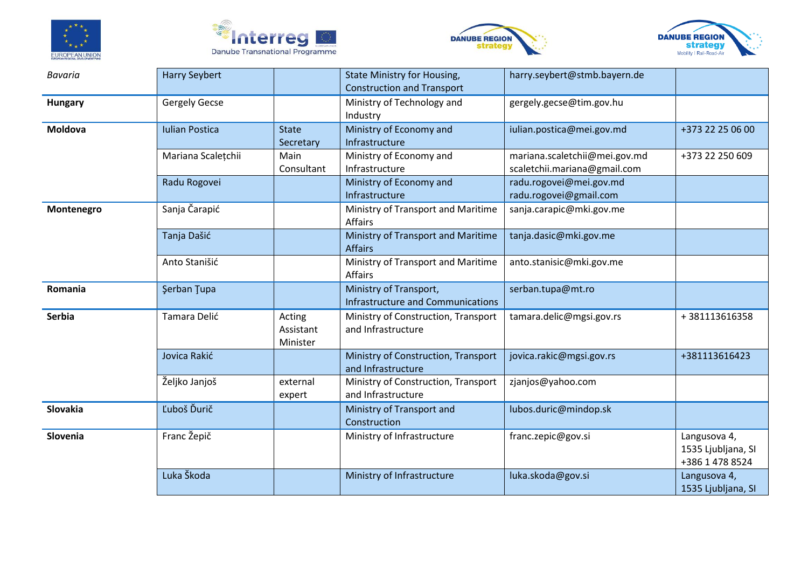







| <b>Bavaria</b> | <b>Harry Seybert</b>                  |            | <b>State Ministry for Housing,</b>       | harry.seybert@stmb.bayern.de  |                    |
|----------------|---------------------------------------|------------|------------------------------------------|-------------------------------|--------------------|
|                |                                       |            | <b>Construction and Transport</b>        |                               |                    |
| <b>Hungary</b> | <b>Gergely Gecse</b>                  |            | Ministry of Technology and               | gergely.gecse@tim.gov.hu      |                    |
|                |                                       |            | Industry                                 |                               |                    |
| Moldova        | <b>Iulian Postica</b><br><b>State</b> |            | Ministry of Economy and                  | iulian.postica@mei.gov.md     | +373 22 25 06 00   |
|                |                                       | Secretary  | Infrastructure                           |                               |                    |
|                | Mariana Scalețchii<br>Main            |            | Ministry of Economy and                  | mariana.scaletchii@mei.gov.md | +373 22 250 609    |
|                |                                       | Consultant | Infrastructure                           | scaletchii.mariana@gmail.com  |                    |
|                | Radu Rogovei                          |            | Ministry of Economy and                  | radu.rogovei@mei.gov.md       |                    |
|                |                                       |            | Infrastructure                           | radu.rogovei@gmail.com        |                    |
| Montenegro     | Sanja Čarapić                         |            | Ministry of Transport and Maritime       | sanja.carapic@mki.gov.me      |                    |
|                |                                       |            | <b>Affairs</b>                           |                               |                    |
|                | Tanja Dašić                           |            | Ministry of Transport and Maritime       | tanja.dasic@mki.gov.me        |                    |
|                |                                       |            | <b>Affairs</b>                           |                               |                    |
|                | Anto Stanišić                         |            | Ministry of Transport and Maritime       | anto.stanisic@mki.gov.me      |                    |
|                |                                       |            | Affairs                                  |                               |                    |
| Romania        | Şerban Tupa                           |            | Ministry of Transport,                   | serban.tupa@mt.ro             |                    |
|                |                                       |            | <b>Infrastructure and Communications</b> |                               |                    |
| <b>Serbia</b>  | Tamara Delić                          | Acting     | Ministry of Construction, Transport      | tamara.delic@mgsi.gov.rs      | +381113616358      |
|                |                                       | Assistant  | and Infrastructure                       |                               |                    |
|                |                                       | Minister   |                                          |                               |                    |
|                | Jovica Rakić                          |            | Ministry of Construction, Transport      | jovica.rakic@mgsi.gov.rs      | +381113616423      |
|                |                                       |            | and Infrastructure                       |                               |                    |
|                | Željko Janjoš                         | external   | Ministry of Construction, Transport      | zjanjos@yahoo.com             |                    |
|                |                                       | expert     | and Infrastructure                       |                               |                    |
| Slovakia       | Ľuboš Ďurič                           |            | Ministry of Transport and                | lubos.duric@mindop.sk         |                    |
|                |                                       |            | Construction                             |                               |                    |
| Slovenia       | Franc Žepič                           |            | Ministry of Infrastructure               | franc.zepic@gov.si            | Langusova 4,       |
|                |                                       |            |                                          |                               | 1535 Ljubljana, SI |
|                |                                       |            |                                          |                               | +386 1 478 8524    |
|                | Luka Škoda                            |            | Ministry of Infrastructure               | luka.skoda@gov.si             | Langusova 4,       |
|                |                                       |            |                                          |                               | 1535 Ljubljana, SI |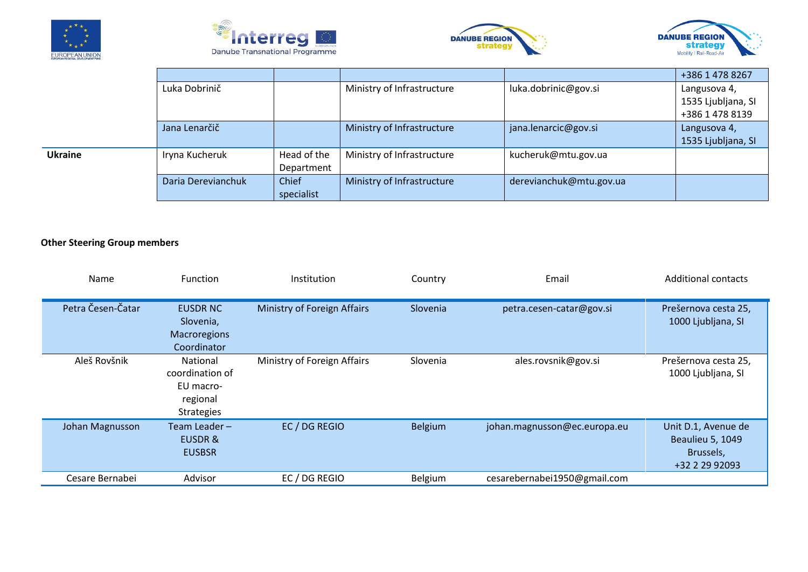







|         |                    |             |                            |                         | +386 1 478 8267    |
|---------|--------------------|-------------|----------------------------|-------------------------|--------------------|
|         | Luka Dobrinič      |             | Ministry of Infrastructure | luka.dobrinic@gov.si    | Langusova 4,       |
|         |                    |             |                            |                         | 1535 Ljubljana, SI |
|         |                    |             |                            |                         | +386 1 478 8139    |
|         | Jana Lenarčič      |             | Ministry of Infrastructure | jana.lenarcic@gov.si    | Langusova 4,       |
|         |                    |             |                            |                         | 1535 Ljubljana, SI |
| Ukraine | Iryna Kucheruk     | Head of the | Ministry of Infrastructure | kucheruk@mtu.gov.ua     |                    |
|         |                    | Department  |                            |                         |                    |
|         | Daria Derevianchuk | Chief       | Ministry of Infrastructure | derevianchuk@mtu.gov.ua |                    |
|         |                    | specialist  |                            |                         |                    |

## **Other Steering Group members**

| Name              | Function                                                                         | Institution                 | Country        | Email                        | <b>Additional contacts</b>                                                    |
|-------------------|----------------------------------------------------------------------------------|-----------------------------|----------------|------------------------------|-------------------------------------------------------------------------------|
| Petra Česen-Čatar | <b>EUSDR NC</b><br>Slovenia,<br>Macroregions<br>Coordinator                      | Ministry of Foreign Affairs | Slovenia       | petra.cesen-catar@gov.si     | Prešernova cesta 25,<br>1000 Ljubljana, SI                                    |
| Aleš Rovšnik      | <b>National</b><br>coordination of<br>EU macro-<br>regional<br><b>Strategies</b> | Ministry of Foreign Affairs | Slovenia       | ales.rovsnik@gov.si          | Prešernova cesta 25,<br>1000 Ljubljana, SI                                    |
| Johan Magnusson   | Team Leader-<br><b>EUSDR&amp;</b><br><b>EUSBSR</b>                               | EC / DG REGIO               | <b>Belgium</b> | johan.magnusson@ec.europa.eu | Unit D.1, Avenue de<br><b>Beaulieu 5, 1049</b><br>Brussels,<br>+32 2 29 92093 |
| Cesare Bernabei   | Advisor                                                                          | EC / DG REGIO               | Belgium        | cesarebernabei1950@gmail.com |                                                                               |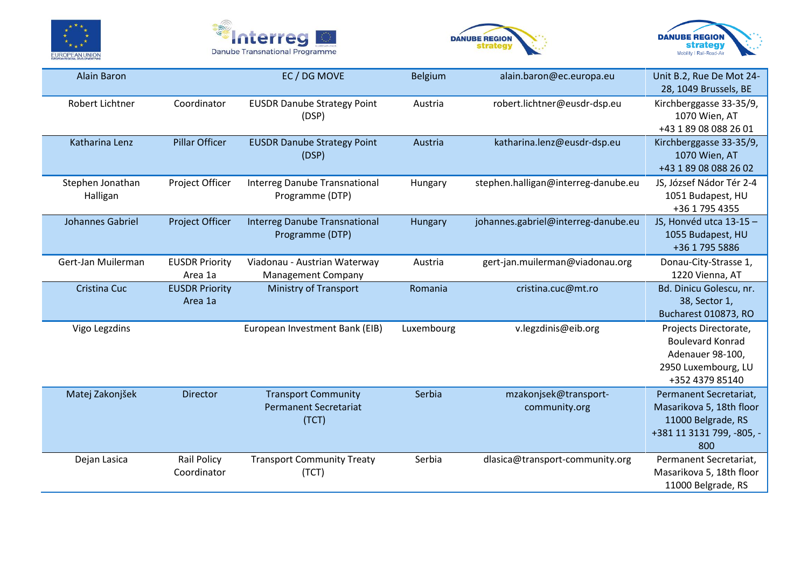







| <b>Alain Baron</b>           |                                   | EC / DG MOVE                                                        |            | alain.baron@ec.europa.eu               | Unit B.2, Rue De Mot 24-<br>28, 1049 Brussels, BE                                                              |
|------------------------------|-----------------------------------|---------------------------------------------------------------------|------------|----------------------------------------|----------------------------------------------------------------------------------------------------------------|
| Robert Lichtner              | Coordinator                       | <b>EUSDR Danube Strategy Point</b><br>(DSP)                         | Austria    | robert.lichtner@eusdr-dsp.eu           | Kirchberggasse 33-35/9,<br>1070 Wien, AT<br>+43 1 89 08 088 26 01                                              |
| Katharina Lenz               | <b>Pillar Officer</b>             | <b>EUSDR Danube Strategy Point</b><br>(DSP)                         | Austria    | katharina.lenz@eusdr-dsp.eu            | Kirchberggasse 33-35/9,<br>1070 Wien, AT<br>+43 1 89 08 088 26 02                                              |
| Stephen Jonathan<br>Halligan | Project Officer                   | <b>Interreg Danube Transnational</b><br>Programme (DTP)             | Hungary    | stephen.halligan@interreg-danube.eu    | JS, József Nádor Tér 2-4<br>1051 Budapest, HU<br>+36 1 795 4355                                                |
| Johannes Gabriel             | Project Officer                   | <b>Interreg Danube Transnational</b><br>Programme (DTP)             | Hungary    | johannes.gabriel@interreg-danube.eu    | JS, Honvéd utca 13-15 -<br>1055 Budapest, HU<br>+36 1 795 5886                                                 |
| Gert-Jan Muilerman           | <b>EUSDR Priority</b><br>Area 1a  | Viadonau - Austrian Waterway<br><b>Management Company</b>           | Austria    | gert-jan.muilerman@viadonau.org        | Donau-City-Strasse 1,<br>1220 Vienna, AT                                                                       |
| <b>Cristina Cuc</b>          | <b>EUSDR Priority</b><br>Area 1a  | <b>Ministry of Transport</b>                                        | Romania    | cristina.cuc@mt.ro                     | Bd. Dinicu Golescu, nr.<br>38, Sector 1,<br>Bucharest 010873, RO                                               |
| Vigo Legzdins                |                                   | European Investment Bank (EIB)                                      | Luxembourg | v.legzdinis@eib.org                    | Projects Directorate,<br><b>Boulevard Konrad</b><br>Adenauer 98-100,<br>2950 Luxembourg, LU<br>+352 4379 85140 |
| Matej Zakonjšek              | Director                          | <b>Transport Community</b><br><b>Permanent Secretariat</b><br>(TCT) | Serbia     | mzakonjsek@transport-<br>community.org | Permanent Secretariat,<br>Masarikova 5, 18th floor<br>11000 Belgrade, RS<br>+381 11 3131 799, -805, -<br>800   |
| Dejan Lasica                 | <b>Rail Policy</b><br>Coordinator | <b>Transport Community Treaty</b><br>(TCT)                          | Serbia     | dlasica@transport-community.org        | Permanent Secretariat,<br>Masarikova 5, 18th floor<br>11000 Belgrade, RS                                       |